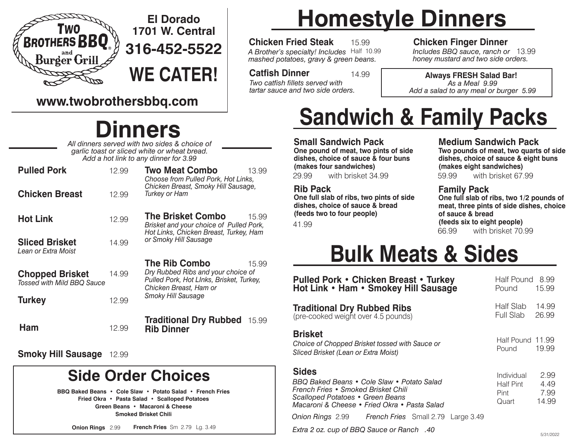

### **El Dorado 1701 W. Central 316-452-5522**

**WE CATER!**

### **www.twobrothersbbq.com**

### **Dinners**

*All dinners served with two sides & choice of garlic toast or sliced white or wheat bread. Add a hot link to any dinner for 3.99*

| <b>Pulled Pork</b>                                          | 12.99 | <b>Two Meat Combo</b><br>13.99<br>Choose from Pulled Pork, Hot Links,                                                                     |  |
|-------------------------------------------------------------|-------|-------------------------------------------------------------------------------------------------------------------------------------------|--|
| <b>Chicken Breast</b>                                       | 12.99 | Chicken Breast, Smoky Hill Sausage,<br><b>Turkey or Ham</b>                                                                               |  |
| <b>Hot Link</b>                                             | 12.99 | <b>The Brisket Combo</b><br>15.99<br>Brisket and your choice of Pulled Pork,<br>Hot Links, Chicken Breast, Turkey, Ham                    |  |
| <b>Sliced Brisket</b><br>Lean or Extra Moist                | 14.99 | or Smoky Hill Sausage                                                                                                                     |  |
| <b>Chopped Brisket</b><br><b>Tossed with Mild BBQ Sauce</b> | 14.99 | <b>The Rib Combo</b><br>15.99<br>Dry Rubbed Ribs and your choice of<br>Pulled Pork, Hot Links, Brisket, Turkey,<br>Chicken Breast, Ham or |  |
| Turkey                                                      | 12.99 | Smoky Hill Sausage                                                                                                                        |  |
| Ham                                                         | 12.99 | <b>Traditional Dry Rubbed</b><br>15.99<br><b>Rib Dinner</b>                                                                               |  |

**Smoky Hill Sausage** 12.99

### **Side Order Choices**

**BBQ Baked Beans • Cole Slaw • Potato Salad • French Fries Fried Okra • Pasta Salad • Scalloped Potatoes Green Beans • Macaroni & Cheese Smoked Brisket Chili**

**Onion Rings** 2.99 **French Fries** Sm 2.79 Lg. 3.49

# **Homestyle Dinners**

**Chicken Fried Steak** 15.99

*A Brother's specialty! Includes* Half 10.99 *mashed potatoes, gravy & green beans.*

14.99 *Two catfish fillets served with tartar sauce and two side orders.*

**Chicken Finger Dinner** 13.99 *Includes BBQ sauce, ranch or*

**Catfish Dinner Allact 14.99 Always FRESH Salad Bar!** *honey mustard and two side orders.*

*As a Meal 9.99 Add a salad to any meal or burger 5.99*

# **Sandwich & Family Packs**

**Small Sandwich Pack One pound of meat, two pints of side dishes, choice of sauce & four buns (makes four sandwiches)**

29.99 with brisket 34.99 59.99 with brisket 67.99

#### **Rib Pack**

**One full slab of ribs, two pints of side dishes, choice of sauce & bread (feeds two to four people)**

41.99

#### **Medium Sandwich Pack**

**Two pounds of meat, two quarts of side dishes, choice of sauce & eight buns (makes eight sandwiches)**

#### **Family Pack**

66.99 with brisket 70.99 **One full slab of ribs, two 1/2 pounds of meat, three pints of side dishes, choice of sauce & bread (feeds six to eight people)**

### **Bulk Meats & Sides**

| <b>Pulled Pork • Chicken Breast • Turkey</b><br>Hot Link • Ham • Smokey Hill Sausage                                                                                                  | Half Pound 8.99<br>Pound                 | 15.99                         |
|---------------------------------------------------------------------------------------------------------------------------------------------------------------------------------------|------------------------------------------|-------------------------------|
| <b>Traditional Dry Rubbed Ribs</b><br>(pre-cooked weight over 4.5 pounds)                                                                                                             | Half Slab<br>Full Slab                   | 14.99<br>26.99                |
| <b>Brisket</b><br>Choice of Chopped Brisket tossed with Sauce or<br>Sliced Brisket (Lean or Extra Moist)                                                                              | Half Pound 11.99<br>Pound                | 19.99                         |
| <b>Sides</b><br>BBQ Baked Beans • Cole Slaw • Potato Salad<br>French Fries • Smoked Brisket Chili<br>Scalloped Potatoes • Green Beans<br>Macaroni & Cheese • Fried Okra • Pasta Salad | Individual<br>Half Pint<br>Pint<br>Quart | 2.99<br>4.49<br>7.99<br>14.99 |
| Onion Rings 2.99 French Fries Small 2.79 Large 3.49                                                                                                                                   |                                          |                               |
| A0. Extra 2 oz. cup of BBQ Sauce or Ranch                                                                                                                                             |                                          |                               |